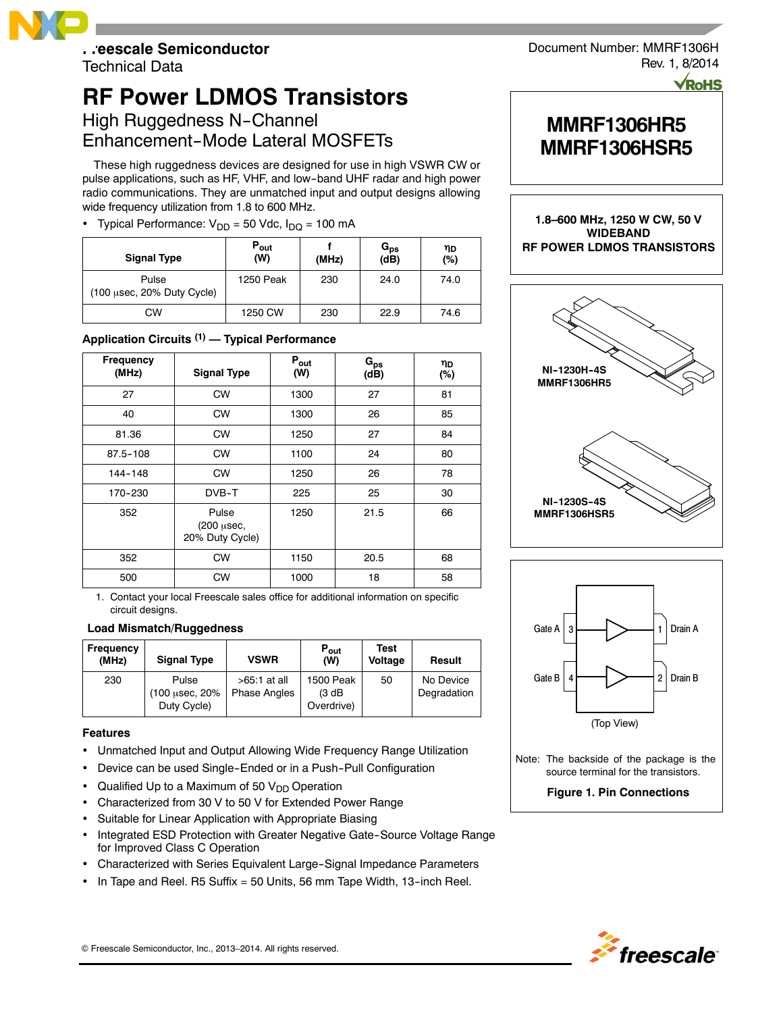

Technical Data

# **RF Power LDMOS Transistors** High Ruggedness N-Channel

Enhancement-Mode Lateral MOSFETs

These high ruggedness devices are designed for use in high VSWR CW or pulse applications, such as HF, VHF, and low--band UHF radar and high power radio communications. They are unmatched input and output designs allowing wide frequency utilization from 1.8 to 600 MHz.

# • Typical Performance:  $V_{DD} = 50$  Vdc,  $I_{DQ} = 100$  mA

| <b>Signal Type</b>                                     | $P_{\text{out}}$<br>(W) | (MHz) | $\mathtt{G_{ps}}$<br>(dB) | ηD<br>(%) |
|--------------------------------------------------------|-------------------------|-------|---------------------------|-----------|
| Pulse<br>$(100 \text{ µsec}, 20\% \text{ Duty Cycle})$ | 1250 Peak               | 230   | 24.0                      | 74.0      |
| CW                                                     | 1250 CW                 | 230   | 22.9                      | 74.6      |

# **Application Circuits (1) — Typical Performance**

| <b>Frequency</b><br>(MHz) | <b>Signal Type</b>                     | $P_{\text{out}}$<br>(W) | $G_{ps}$<br>(dB) | ηD<br>(%) |
|---------------------------|----------------------------------------|-------------------------|------------------|-----------|
| 27                        | <b>CW</b>                              | 1300                    | 27               | 81        |
| 40                        | <b>CW</b>                              | 1300                    | 26               | 85        |
| 81.36                     | <b>CW</b>                              | 1250                    | 27               | 84        |
| $87.5 - 108$              | <b>CW</b>                              | 1100                    | 24               | 80        |
| 144-148                   | <b>CW</b>                              | 1250                    | 26               | 78        |
| 170-230                   | DVB-T                                  | 225                     | 25               | 30        |
| 352                       | Pulse<br>(200 µsec,<br>20% Duty Cycle) | 1250                    | 21.5             | 66        |
| 352                       | <b>CW</b>                              | 1150                    | 20.5             | 68        |
| 500                       | <b>CW</b>                              | 1000                    | 18               | 58        |

1. Contact your local Freescale sales office for additional information on specific circuit designs.

### **Load Mismatch/Ruggedness**

| Frequency<br>(MHz) | <b>Signal Type</b>      | <b>VSWR</b>                           | $P_{\text{out}}$<br>(W)    | Test<br>Voltage | Result                   |
|--------------------|-------------------------|---------------------------------------|----------------------------|-----------------|--------------------------|
| 230                | Pulse<br>(100 µsec, 20% | $>65.1$ at all<br><b>Phase Angles</b> | <b>1500 Peak</b><br>(3 dB) | 50              | No Device<br>Degradation |
|                    | Duty Cycle)             |                                       | Overdrive)                 |                 |                          |

### **Features**

- Unmatched Input and Output Allowing Wide Frequency Range Utilization
- Device can be used Single-Ended or in a Push-Pull Configuration
- Qualified Up to a Maximum of 50  $V_{DD}$  Operation
- Characterized from 30 V to 50 V for Extended Power Range
- Suitable for Linear Application with Appropriate Biasing
- Integrated ESD Protection with Greater Negative Gate-Source Voltage Range for Improved Class C Operation
- Characterized with Series Equivalent Large--Signal Impedance Parameters
- In Tape and Reel. R5 Suffix = 50 Units, 56 mm Tape Width, 13--inch Reel.

Document Number: MMRF1306H Rev. 1, 8/2014

# **MMRF1306HR5 MMRF1306HSR5**

**1.8–600 MHz, 1250 W CW, 50 V WIDEBAND RF POWER LDMOS TRANSISTORS**





Note: The backside of the package is the source terminal for the transistors.

# **Figure 1. Pin Connections**

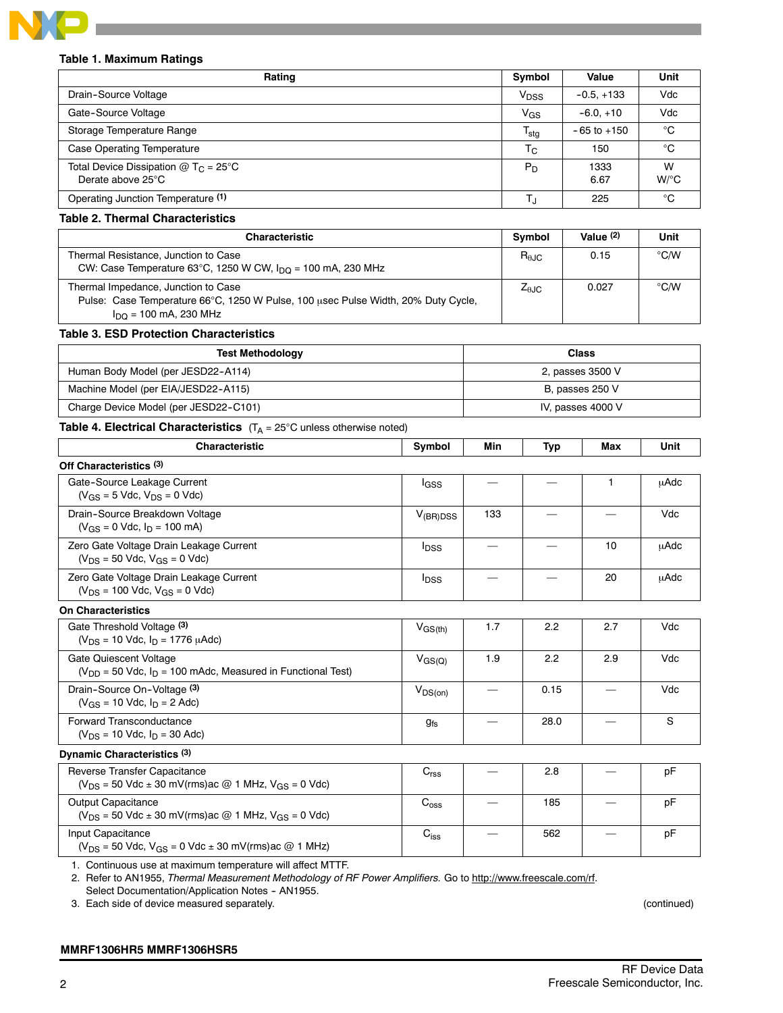

### **Table 1. Maximum Ratings**

| Rating                                                                  | Symbol           | Value           | Unit                      |
|-------------------------------------------------------------------------|------------------|-----------------|---------------------------|
| Drain-Source Voltage                                                    | V <sub>DSS</sub> | $-0.5, +133$    | Vdc                       |
| Gate-Source Voltage                                                     | $V_{GS}$         | $-6.0 + 10$     | Vdc                       |
| Storage Temperature Range                                               | I <sub>stg</sub> | $-65$ to $+150$ | °C                        |
| Case Operating Temperature                                              | $T_{\rm C}$      | 150             | °C                        |
| Total Device Dissipation $@$ T <sub>C</sub> = 25°C<br>Derate above 25°C | $P_D$            | 1333<br>6.67    | W<br>$W$ <sup>o</sup> $C$ |
| Operating Junction Temperature (1)                                      |                  | 225             | °C                        |

### **Table 2. Thermal Characteristics**

| <b>Characteristic</b>                                                                                                                                         | Svmbol                 | Value $(2)$ | Unit |
|---------------------------------------------------------------------------------------------------------------------------------------------------------------|------------------------|-------------|------|
| Thermal Resistance, Junction to Case<br>CW: Case Temperature 63°C, 1250 W CW, $I_{\text{DO}}$ = 100 mA, 230 MHz                                               | $R_{\theta \text{JC}}$ | 0.15        | °C/W |
| Thermal Impedance, Junction to Case<br>Pulse: Case Temperature 66°C, 1250 W Pulse, 100 usec Pulse Width, 20% Duty Cycle,<br>$I_{\text{DO}}$ = 100 mA, 230 MHz | $Z_{\theta\text{JC}}$  | 0.027       | °C/W |

### **Table 3. ESD Protection Characteristics**

| <b>Test Methodology</b>               | <b>Class</b>      |
|---------------------------------------|-------------------|
| Human Body Model (per JESD22-A114)    | 2, passes 3500 V  |
| Machine Model (per EIA/JESD22-A115)   | B, passes 250 V   |
| Charge Device Model (per JESD22-C101) | IV, passes 4000 V |

## **Table 4. Electrical Characteristics** (T<sub>A</sub> = 25°C unless otherwise noted)

| <b>Characteristic</b>                                                             | Symbol                  | Min | Typ | Max | Unit        |  |  |  |
|-----------------------------------------------------------------------------------|-------------------------|-----|-----|-----|-------------|--|--|--|
| Off Characteristics (3)                                                           |                         |     |     |     |             |  |  |  |
| Gate-Source Leakage Current<br>$(V_{GS} = 5$ Vdc, $V_{DS} = 0$ Vdc)               | <sup>I</sup> GSS        |     |     |     | uAdc        |  |  |  |
| Drain-Source Breakdown Voltage<br>$(V_{GS} = 0$ Vdc, $I_D = 100$ mA)              | $V_{(BR)DSS}$           | 133 |     |     | Vdc         |  |  |  |
| Zero Gate Voltage Drain Leakage Current<br>$(V_{DS} = 50$ Vdc, $V_{GS} = 0$ Vdc)  | <b>I</b> <sub>DSS</sub> |     |     | 10  | uAdc        |  |  |  |
| Zero Gate Voltage Drain Leakage Current<br>$(V_{DS} = 100$ Vdc, $V_{GS} = 0$ Vdc) | <sup>I</sup> DSS        |     |     | 20  | <b>µAdc</b> |  |  |  |

**On Characteristics**

| Gate Threshold Voltage (3)<br>$(V_{DS} = 10$ Vdc, $I_D = 1776$ $\mu$ Adc)                    | $V_{GS(th)}$    | 1.7 | 2.2  | 2.7 | Vdc |
|----------------------------------------------------------------------------------------------|-----------------|-----|------|-----|-----|
| Gate Quiescent Voltage<br>$(V_{DD} = 50$ Vdc, $I_D = 100$ mAdc, Measured in Functional Test) | $V_{\rm GS(Q)}$ | 1.9 | 2.2  | 2.9 | Vdc |
| Drain-Source On-Voltage (3)<br>$(V_{GS} = 10$ Vdc, $I_D = 2$ Adc)                            | $V_{DS(on)}$    |     | 0.15 |     | Vdc |
| Forward Transconductance<br>$(V_{DS} = 10$ Vdc, $I_D = 30$ Adc)                              | 9fs             |     | 28.0 |     |     |

### **Dynamic Characteristics (3)**

| Reverse Transfer Capacitance<br>$(V_{DS} = 50$ Vdc ± 30 mV(rms)ac @ 1 MHz, $V_{GS} = 0$ Vdc) | $\mathsf{v}_{\mathsf{rss}}$ | 2.8 | p⊢ |
|----------------------------------------------------------------------------------------------|-----------------------------|-----|----|
| Output Capacitance<br>$(V_{DS} = 50$ Vdc $\pm$ 30 mV(rms) ac @ 1 MHz, $V_{GS} = 0$ Vdc)      | ∪oss                        | 185 | p⊦ |
| Input Capacitance<br>$(V_{DS} = 50$ Vdc, $V_{GS} = 0$ Vdc $\pm$ 30 mV(rms) ac @ 1 MHz)       | ∪ <sub>iss</sub>            | 562 | рF |

1. Continuous use at maximum temperature will affect MTTF.

2. Refer to AN1955, *Thermal Measurement Methodology of RF Power Amplifiers.* Go to http://www.freescale.com/rf.

Select Documentation/Application Notes - AN1955. 3. Each side of device measured separately. (continued)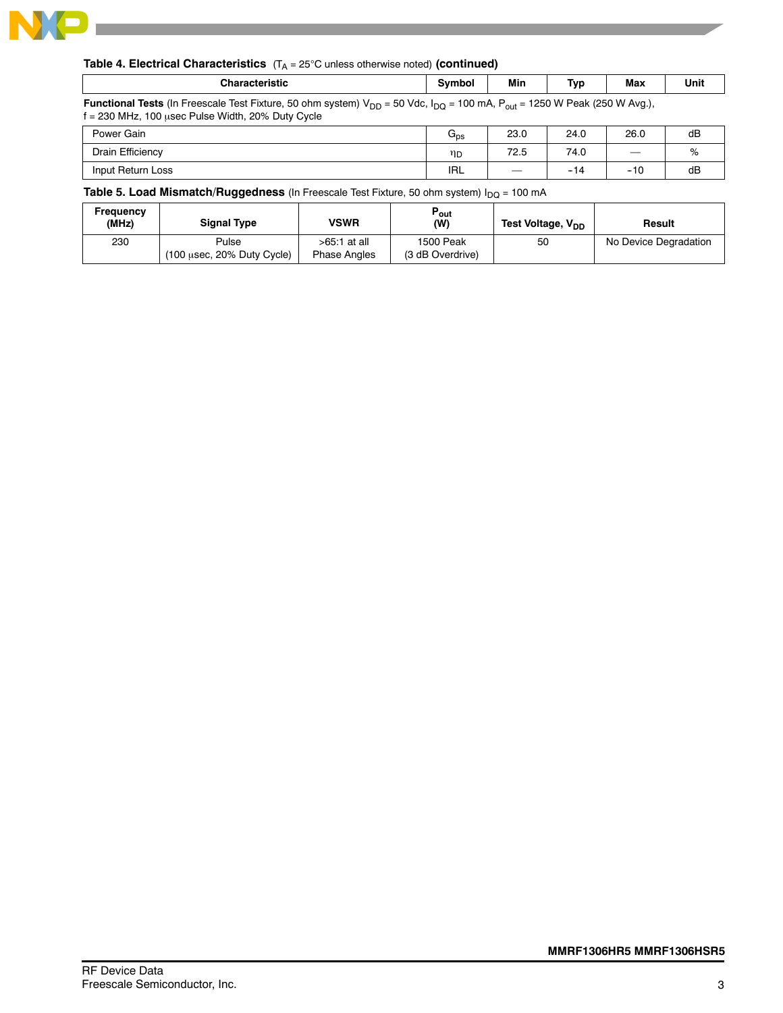

### **Table 4. Electrical Characteristics** (T<sub>A</sub> = 25°C unless otherwise noted) (continued)

| <b>Characteristic</b> | Svmbol | Min. | Tvr<br>. . | Max | Unit |
|-----------------------|--------|------|------------|-----|------|
|                       |        |      |            |     |      |

Functional Tests (In Freescale Test Fixture, 50 ohm system) V<sub>DD</sub> = 50 Vdc, I<sub>DQ</sub> = 100 mA, P<sub>out</sub> = 1250 W Peak (250 W Avg.),  $f = 230$  MHz, 100 usec Pulse Width, 20% Duty Cycle

| Power Gain        | $\mathsf{u}_{\mathsf{DS}}$ | 23.0   | 24.0                  | 26.0                                             | dB |
|-------------------|----------------------------|--------|-----------------------|--------------------------------------------------|----|
| Drain Efficiency  | ηD                         | 72.5   | 74.0                  |                                                  | %  |
| Input Return Loss | <b>IRL</b>                 | $\sim$ | $\rightarrow$<br>$-1$ | $\overline{ }$<br>$\overline{\phantom{a}}$<br>טו | dB |

**Table 5. Load Mismatch/Ruggedness** (In Freescale Test Fixture, 50 ohm system) I<sub>DQ</sub> = 100 mA

| Frequency<br>(MHz) | <b>Signal Type</b>                  | VSWR                                | Pout<br>(W)                   | Test Voltage, V <sub>DD</sub> | Result                |
|--------------------|-------------------------------------|-------------------------------------|-------------------------------|-------------------------------|-----------------------|
| 230                | Pulse<br>(100 usec, 20% Duty Cycle) | >65:1 at all<br><b>Phase Angles</b> | 1500 Peak<br>(3 dB Overdrive) | 50                            | No Device Degradation |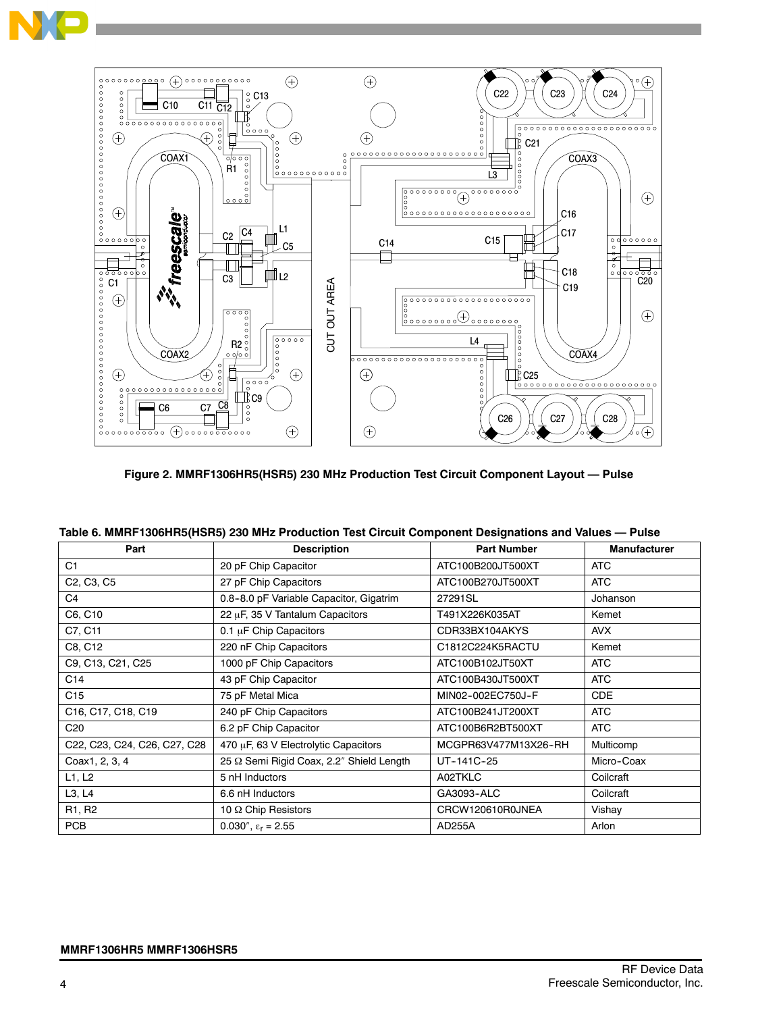



**Figure 2. MMRF1306HR5(HSR5) 230 MHz Production Test Circuit Component Layout — Pulse**

| Table 6. MMRF1306HR5(HSR5) 230 MHz Production Test Circuit Component Designations and Values - Pulse |                                          |                      |                     |  |  |  |  |  |
|------------------------------------------------------------------------------------------------------|------------------------------------------|----------------------|---------------------|--|--|--|--|--|
| Part                                                                                                 | <b>Description</b>                       | <b>Part Number</b>   | <b>Manufacturer</b> |  |  |  |  |  |
| C <sub>1</sub>                                                                                       | 20 pF Chip Capacitor                     | ATC100B200JT500XT    | <b>ATC</b>          |  |  |  |  |  |
| C <sub>2</sub> , C <sub>3</sub> , C <sub>5</sub>                                                     | 27 pF Chip Capacitors                    | ATC100B270JT500XT    | <b>ATC</b>          |  |  |  |  |  |
| C4                                                                                                   | 0.8-8.0 pF Variable Capacitor, Gigatrim  | 27291SL              | Johanson            |  |  |  |  |  |
| C6, C10                                                                                              | 22 µF, 35 V Tantalum Capacitors          | T491X226K035AT       | Kemet               |  |  |  |  |  |
| C7, C11                                                                                              | $0.1 \mu$ F Chip Capacitors              | CDR33BX104AKYS       | <b>AVX</b>          |  |  |  |  |  |
| C8, C12                                                                                              | 220 nF Chip Capacitors                   | C1812C224K5RACTU     | Kemet               |  |  |  |  |  |
| C9, C13, C21, C25                                                                                    | 1000 pF Chip Capacitors                  | ATC100B102JT50XT     | <b>ATC</b>          |  |  |  |  |  |
| C14                                                                                                  | 43 pF Chip Capacitor                     | ATC100B430JT500XT    | <b>ATC</b>          |  |  |  |  |  |
| C <sub>15</sub>                                                                                      | 75 pF Metal Mica                         | MIN02-002EC750J-F    | <b>CDE</b>          |  |  |  |  |  |
| C <sub>16</sub> , C <sub>17</sub> , C <sub>18</sub> , C <sub>19</sub>                                | 240 pF Chip Capacitors                   | ATC100B241JT200XT    | <b>ATC</b>          |  |  |  |  |  |
| C <sub>20</sub>                                                                                      | 6.2 pF Chip Capacitor                    | ATC100B6R2BT500XT    | <b>ATC</b>          |  |  |  |  |  |
| C22, C23, C24, C26, C27, C28                                                                         | 470 µF, 63 V Electrolytic Capacitors     | MCGPR63V477M13X26-RH | Multicomp           |  |  |  |  |  |
| Coax1, 2, 3, 4                                                                                       | 25 Q Semi Rigid Coax, 2.2" Shield Length | UT-141C-25           | Micro-Coax          |  |  |  |  |  |
| L1, L2                                                                                               | 5 nH Inductors                           | A02TKLC              | Coilcraft           |  |  |  |  |  |

L3, L4 6.6 nH Inductors GA3093-ALC Coilcraft R1, R2 10 Ω Chip Resistors CRCW120610R0JNEA Vishay PCB  $0.030^{\prime\prime}$ ,  $\varepsilon_{\rm F} = 2.55$  AD255A Arlon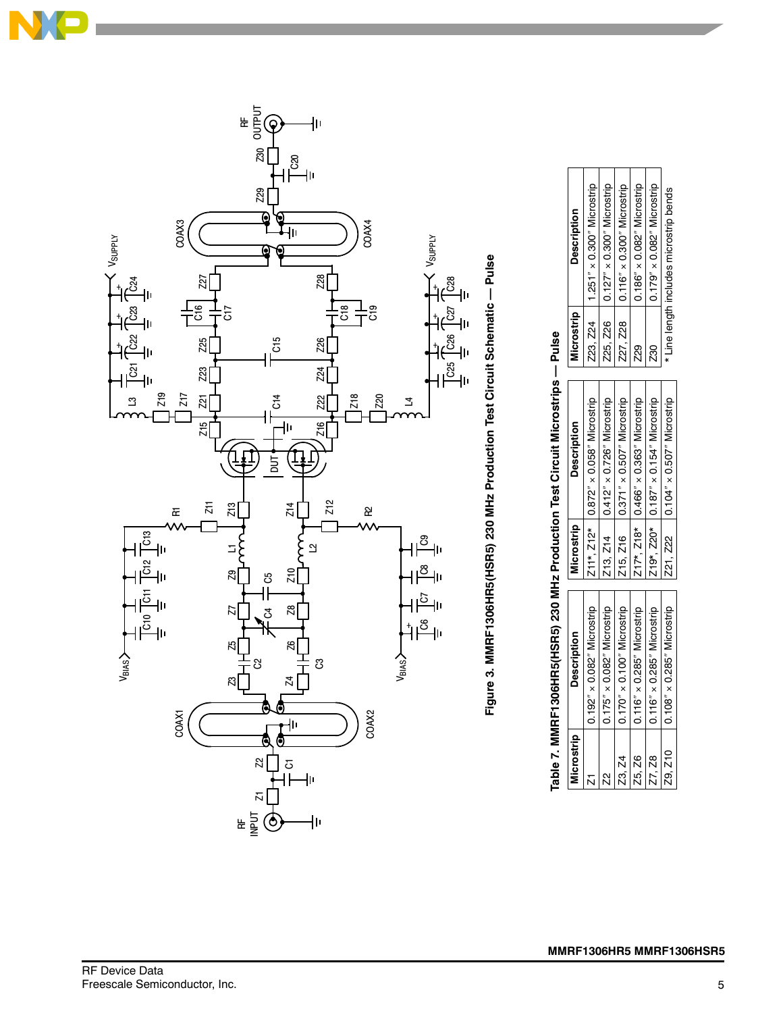



| Microstrip | <b>Description</b>                   | Microstrip | <b>Description</b>                                    | <b>Aicrostrip</b> | <b>Description</b>                    |
|------------|--------------------------------------|------------|-------------------------------------------------------|-------------------|---------------------------------------|
|            | $0.192'' \times 0.082''$ Microstrip  |            | $Z11^*$ , $Z12^*$   0.872" $\times$ 0.058" Microstrip |                   | Z23, Z24   1.251" × 0.300" Microstrip |
|            | $0.175'' \times 0.082''$ Microstrip  |            | 213, 214 0.412" x 0.726" Microstrip                   |                   | Z25, Z26   0.127" × 0.300" Microstrip |
| Z3, Z4     | $10.170'' \times 0.100''$ Microstrip |            | Z15, Z16   0.371" x 0.507" Microstrip                 |                   |                                       |
| $-25, Z6$  | $0.116'' \times 0.285''$ Microstrip  |            | Z17*, Z18* 0.466" x 0.363" Microstrip                 | 29                | $0.186'' \times 0.082''$ Microstrip   |
| Z7, Z8     | $0.116'' \times 0.285''$ Microstrip  |            | Z19*, Z20* 0.187" × 0.154" Microstrip                 | Z30               | $0.179'' \times 0.082''$ Microstrip   |
|            | Z9, Z10   0.108" x 0.285" Microstrip |            | Z21, Z22   0.104" x 0.507" Microstrip                 |                   | Line length includes microstrip bends |

# Table 7. MMRF1306HR5(HSR5) 230 MHz Production Test Circuit Microstrips -- Pulse **Table 7. MMRF1306HR5(HSR5) 230 MHz Production Test Circuit Microstrips — Pulse**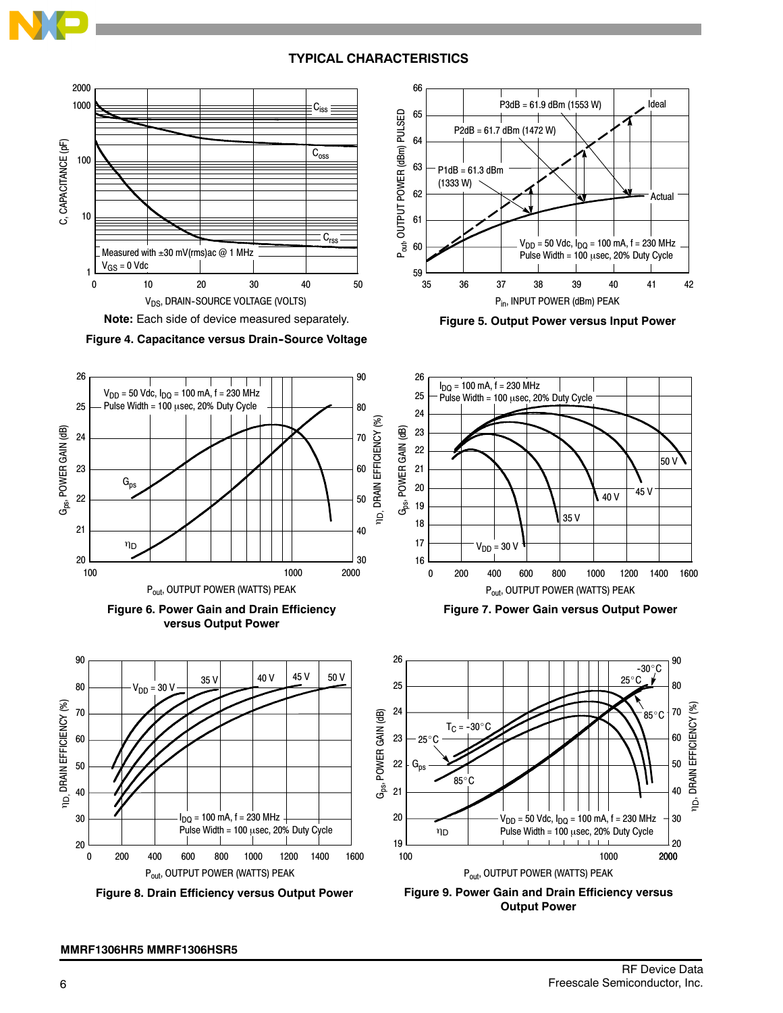## **TYPICAL CHARACTERISTICS**



**Figure 4. Capacitance versus Drain-Source Voltage** 







**Figure 8. Drain Efficiency versus Output Power**



**Figure 5. Output Power versus Input Power**



**Figure 7. Power Gain versus Output Power**



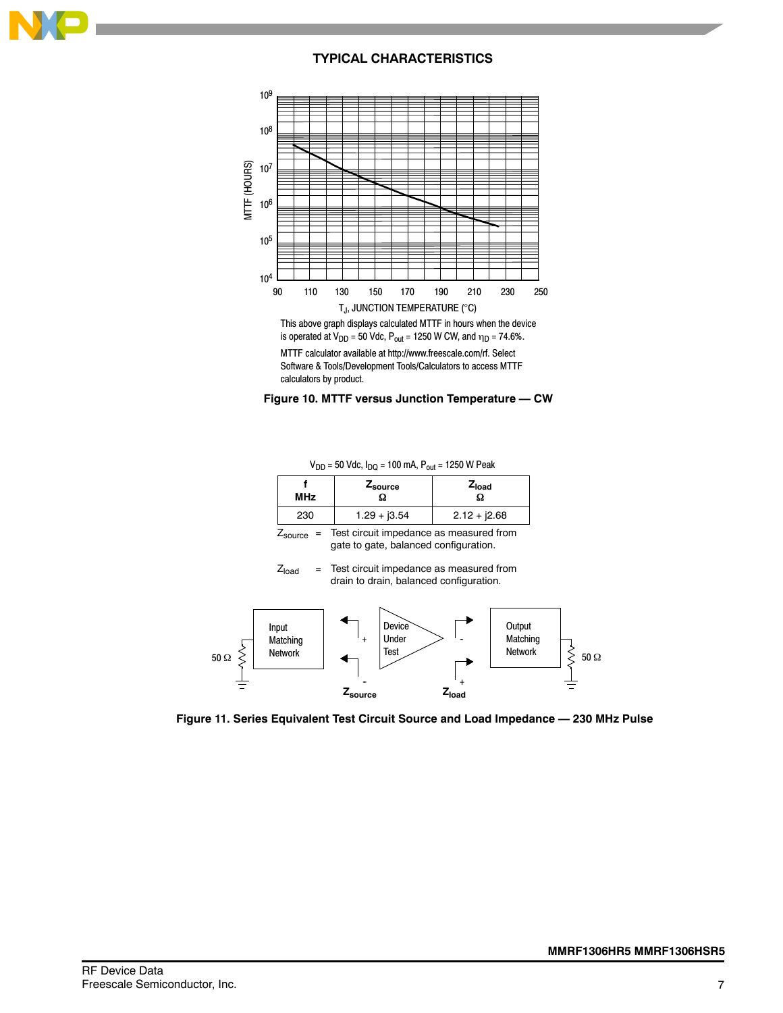

## **TYPICAL CHARACTERISTICS**



This above graph displays calculated MTTF in hours when the device is operated at  $V_{DD} = 50$  Vdc,  $P_{out} = 1250$  W CW, and  $\eta_D = 74.6\%$ .

MTTF calculator available at http://www.freescale.com/rf. Select Software & Tools/Development Tools/Calculators to access MTTF calculators by product.



 $V_{DD}$  = 50 Vdc,  $I_{DQ}$  = 100 mA,  $P_{out}$  = 1250 W Peak

| <b>MHz</b> | Zsource        | $Z_{load}$     |
|------------|----------------|----------------|
| 230        | $1.29 + j3.54$ | $2.12 + j2.68$ |

 $Z_{source}$  = Test circuit impedance as measured from gate to gate, balanced configuration.

 $Z<sub>load</sub>$  = Test circuit impedance as measured from drain to drain, balanced configuration.



**Figure 11. Series Equivalent Test Circuit Source and Load Impedance — 230 MHz Pulse**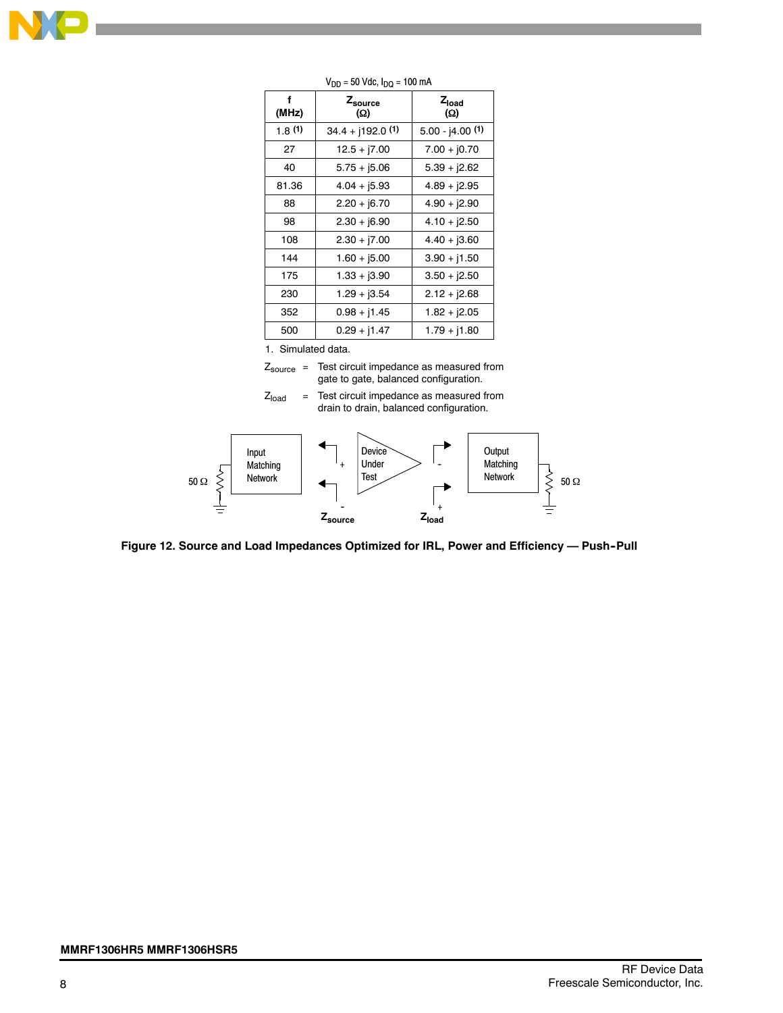

| f<br>(MHz) | Zsource<br>(Ω)      | $Z_{load}$<br>(Ω) |
|------------|---------------------|-------------------|
| 1.8(1)     | $34.4 + j192.0$ (1) | $5.00 - j4.00(1)$ |
| 27         | $12.5 + j7.00$      | $7.00 + j0.70$    |
| 40         | $5.75 + j5.06$      | $5.39 + j2.62$    |
| 81.36      | $4.04 + j5.93$      | $4.89 + j2.95$    |
| 88         | $2.20 + j6.70$      | $4.90 + j2.90$    |
| 98         | $2.30 + j6.90$      | $4.10 + j2.50$    |
| 108        | $2.30 + 7.00$       | $4.40 + j3.60$    |
| 144        | $1.60 + j5.00$      | $3.90 + j1.50$    |
| 175        | $1.33 + j3.90$      | $3.50 + j2.50$    |
| 230        | $1.29 + j3.54$      | $2.12 + j2.68$    |
| 352        | $0.98 + j1.45$      | $1.82 + j2.05$    |
| 500        | $0.29 + j1.47$      | $1.79 + j1.80$    |

 $V_{DD} = 50$  Vdc,  $I_{DQ} = 100$  mA

1. Simulated data.

- $Z_{\text{source}}$  = Test circuit impedance as measured from gate to gate, balanced configuration.
- $Z<sub>load</sub>$  = Test circuit impedance as measured from drain to drain, balanced configuration.



**Figure 12. Source and Load Impedances Optimized for IRL, Power and Efficiency — Push--Pull**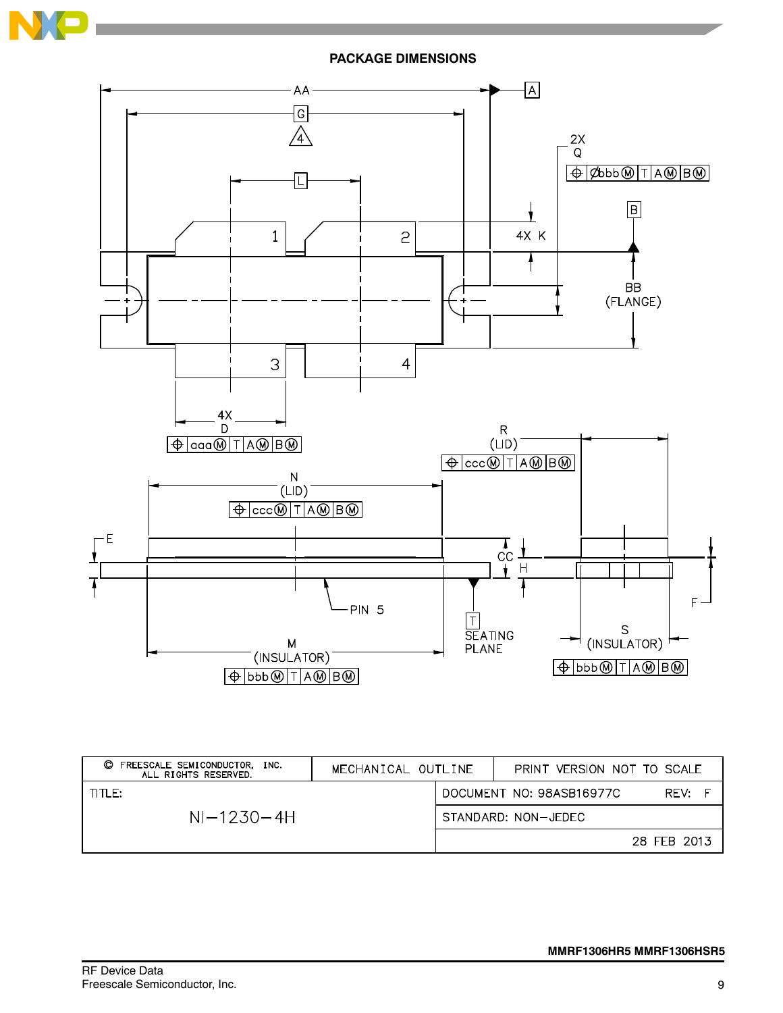



| O<br>FREESCALE SEMICONDUCTOR,<br>INC.<br>ALL RIGHTS RESERVED. | MECHANICAL OUTLINE |                     | PRINT VERSION NOT TO SCALE |             |
|---------------------------------------------------------------|--------------------|---------------------|----------------------------|-------------|
| $THF$ :                                                       |                    |                     | DOCUMENT NO: 98ASB16977C   | RFV:        |
| $NI-1230-4H$                                                  |                    | STANDARD: NON-JEDEC |                            |             |
|                                                               |                    |                     |                            | 28 FEB 2013 |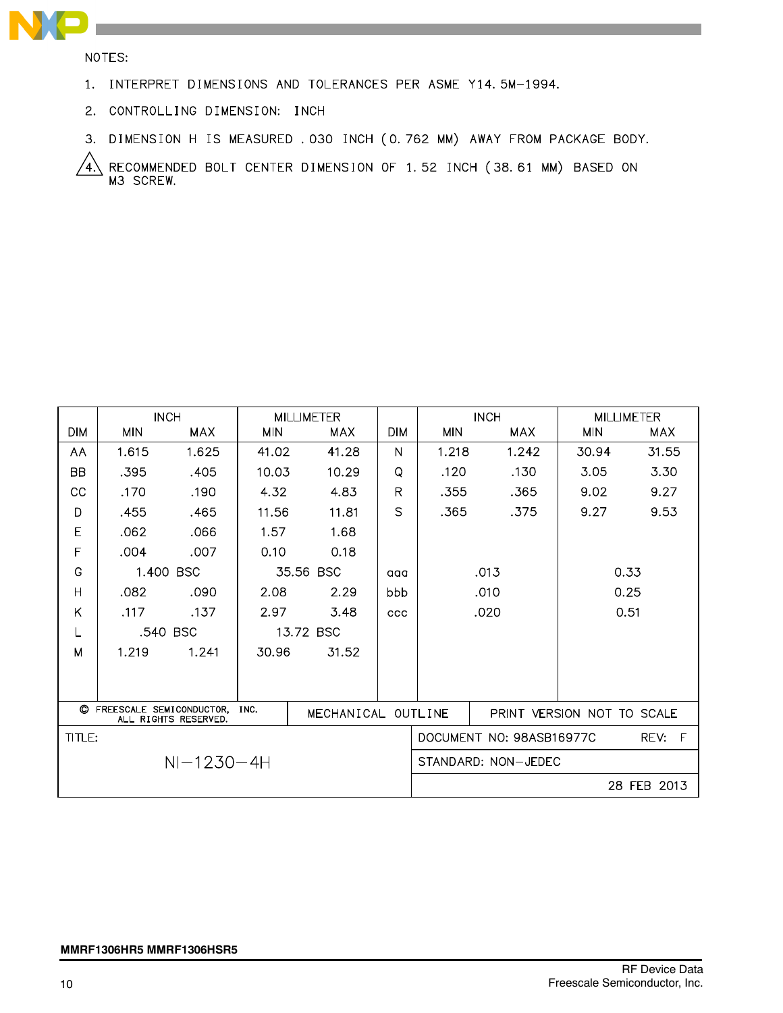

NOTES:

- 1. INTERPRET DIMENSIONS AND TOLERANCES PER ASME Y14.5M-1994.
- 2. CONTROLLING DIMENSION: INCH
- 3. DIMENSION H IS MEASURED . 030 INCH (0.762 MM) AWAY FROM PACKAGE BODY.

RECOMMENDED BOLT CENTER DIMENSION OF 1.52 INCH (38.61 MM) BASED ON<br>M3 SCREW.  $\sqrt{4}$ 

|                  |                                                                                | <b>INCH</b> |            | <b>MILLIMETER</b> |                            | <b>INCH</b>              |            |            | <b>MILLIMETER</b> |
|------------------|--------------------------------------------------------------------------------|-------------|------------|-------------------|----------------------------|--------------------------|------------|------------|-------------------|
| <b>DIM</b>       | <b>MIN</b>                                                                     | <b>MAX</b>  | <b>MIN</b> | <b>MAX</b>        | <b>DIM</b>                 | <b>MIN</b>               | <b>MAX</b> | <b>MIN</b> | <b>MAX</b>        |
| AA               | 1.615                                                                          | 1.625       | 41.02      | 41.28             | N                          | 1.218                    | 1.242      | 30.94      | 31.55             |
| <b>BB</b>        | .395                                                                           | .405        | 10.03      | 10.29             | Q                          | .120                     | .130       | 3.05       | 3.30              |
| CС               | .170                                                                           | .190        | 4.32       | 4.83              | R                          | .355                     | .365       | 9.02       | 9.27              |
| D                | .455                                                                           | .465        | 11.56      | 11.81             | S                          | .365                     | .375       | 9.27       | 9.53              |
| Ε                | .062                                                                           | .066        | 1.57       | 1.68              |                            |                          |            |            |                   |
| F                | .004                                                                           | .007        | 0.10       | 0.18              |                            |                          |            |            |                   |
| G                |                                                                                | 1.400 BSC   |            | 35.56 BSC         | aaa                        | 0.33<br>.013             |            |            |                   |
| H                | .082                                                                           | .090        | 2.08       | 2.29              | bbb                        | .010<br>0.25             |            |            |                   |
| Κ                | .117                                                                           | .137        | 2.97       | 3.48              | ccc                        |                          | .020       |            | 0.51              |
| L                |                                                                                | .540 BSC    |            | 13.72 BSC         |                            |                          |            |            |                   |
| M                | 1.219                                                                          | 1.241       | 30.96      | 31.52             |                            |                          |            |            |                   |
|                  |                                                                                |             |            |                   |                            |                          |            |            |                   |
|                  |                                                                                |             |            |                   |                            |                          |            |            |                   |
| O                | FREESCALE SEMICONDUCTOR.<br>INC.<br>MECHANICAL OUTLINE<br>ALL RIGHTS RESERVED. |             |            |                   | PRINT VERSION NOT TO SCALE |                          |            |            |                   |
| TITLE:           |                                                                                |             |            |                   |                            | DOCUMENT NO: 98ASB16977C |            | REV: F     |                   |
| $NI - 1230 - 4H$ |                                                                                |             |            |                   | STANDARD: NON-JEDEC        |                          |            |            |                   |
|                  |                                                                                |             |            |                   |                            |                          |            |            | 28 FEB 2013       |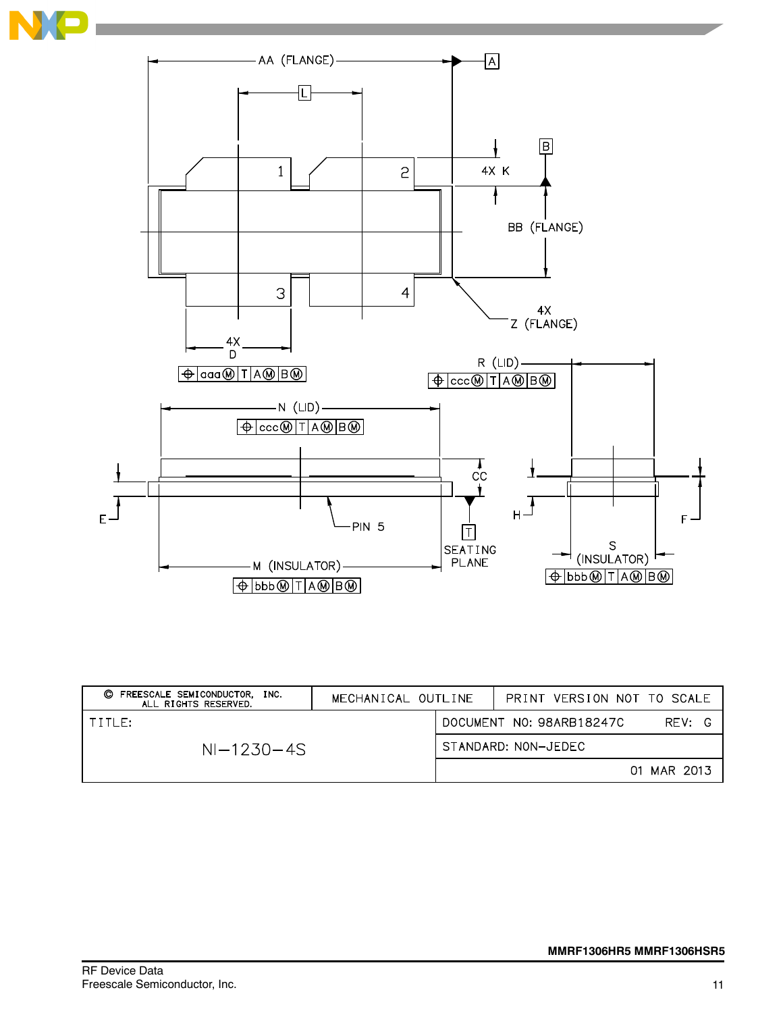

| FREESCALE SEMICONDUCTOR.<br>O<br>INC.<br>ALL RIGHTS RESERVED. | MECHANICAL OUTLINE |                     | PRINT VERSION NOT TO SCALE         |  |
|---------------------------------------------------------------|--------------------|---------------------|------------------------------------|--|
| TITLE:                                                        |                    |                     | REV: G<br>DOCUMENT NO: 98ARB18247C |  |
| $NI-1230-4S$                                                  |                    | STANDARD: NON-JEDEC |                                    |  |
|                                                               |                    |                     | 01 MAR 2013                        |  |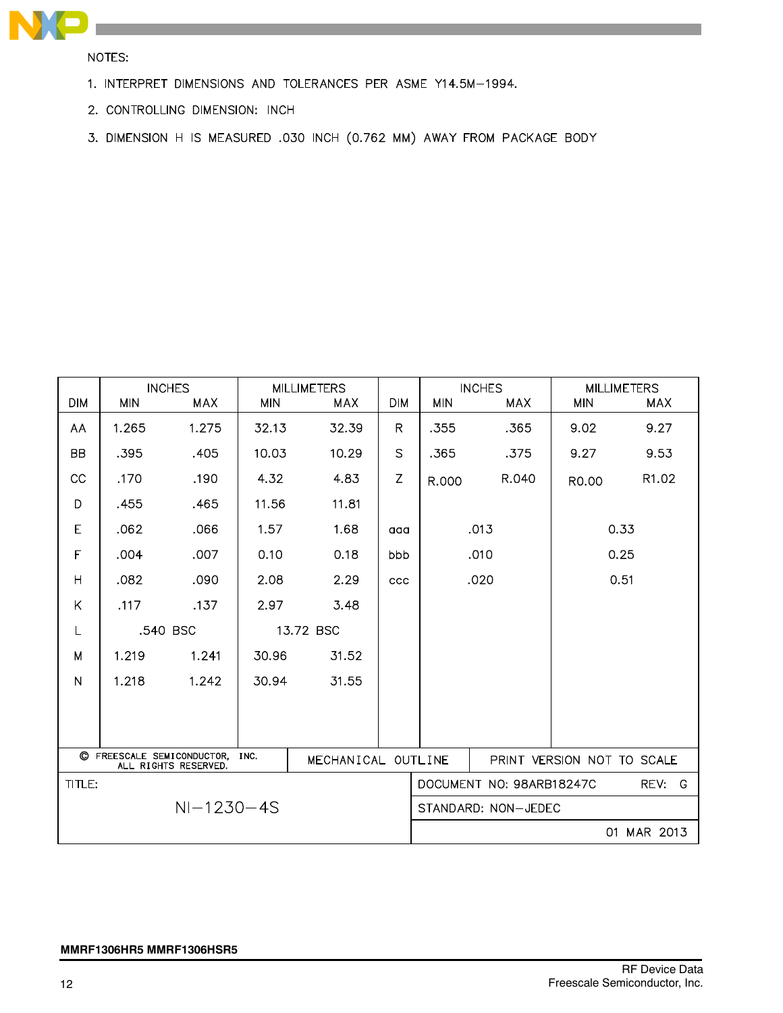

NOTES:

- 1. INTERPRET DIMENSIONS AND TOLERANCES PER ASME Y14.5M-1994.
- 2. CONTROLLING DIMENSION: INCH
- 3. DIMENSION H IS MEASURED .030 INCH (0.762 MM) AWAY FROM PACKAGE BODY

| <b>DIM</b>     | <b>MIN</b> | <b>INCHES</b><br>MAX                               | <b>MIN</b> | <b>MILLIMETERS</b><br><b>MAX</b> | <b>DIM</b>   | <b>MIN</b>                 | <b>INCHES</b><br>MAX     | <b>MIN</b> | <b>MILLIMETERS</b><br><b>MAX</b> |
|----------------|------------|----------------------------------------------------|------------|----------------------------------|--------------|----------------------------|--------------------------|------------|----------------------------------|
| AA             | 1.265      | 1.275                                              | 32.13      | 32.39                            | $\mathsf{R}$ | .355                       | .365                     | 9.02       | 9.27                             |
| <b>BB</b>      | .395       | .405                                               | 10.03      | 10.29                            | $\mathsf{S}$ | .365                       | .375                     | 9.27       | 9.53                             |
| CC             | .170       | .190                                               | 4.32       | 4.83                             | Z            | R.000                      | R.040                    | R0.00      | R1.02                            |
| D              | .455       | .465                                               | 11.56      | 11.81                            |              |                            |                          |            |                                  |
| E              | .062       | .066                                               | 1.57       | 1.68                             | aaa          |                            | .013                     |            | 0.33                             |
| F              | .004       | .007                                               | 0.10       | 0.18                             | bbb          | 0.25<br>.010               |                          |            |                                  |
| H              | .082       | .090                                               | 2.08       | 2.29                             | ccc          |                            | .020                     |            | 0.51                             |
| K              | .117       | .137                                               | 2.97       | 3.48                             |              |                            |                          |            |                                  |
| L              |            | .540 BSC                                           |            | 13.72 BSC                        |              |                            |                          |            |                                  |
| M              | 1.219      | 1.241                                              | 30.96      | 31.52                            |              |                            |                          |            |                                  |
| $\overline{N}$ | 1.218      | 1.242                                              | 30.94      | 31.55                            |              |                            |                          |            |                                  |
|                |            |                                                    |            |                                  |              |                            |                          |            |                                  |
|                |            |                                                    |            |                                  |              |                            |                          |            |                                  |
|                |            | C FREESCALE SEMICONDUCTOR,<br>ALL RIGHTS RESERVED. | INC.       | MECHANICAL OUTLINE               |              | PRINT VERSION NOT TO SCALE |                          |            |                                  |
| TITLE:         |            |                                                    |            |                                  |              |                            | DOCUMENT NO: 98ARB18247C |            | REV:<br>G                        |
|                |            | $NI-1230-4S$                                       |            |                                  |              |                            | STANDARD: NON-JEDEC      |            |                                  |
|                |            |                                                    |            |                                  |              |                            |                          |            | 01 MAR 2013                      |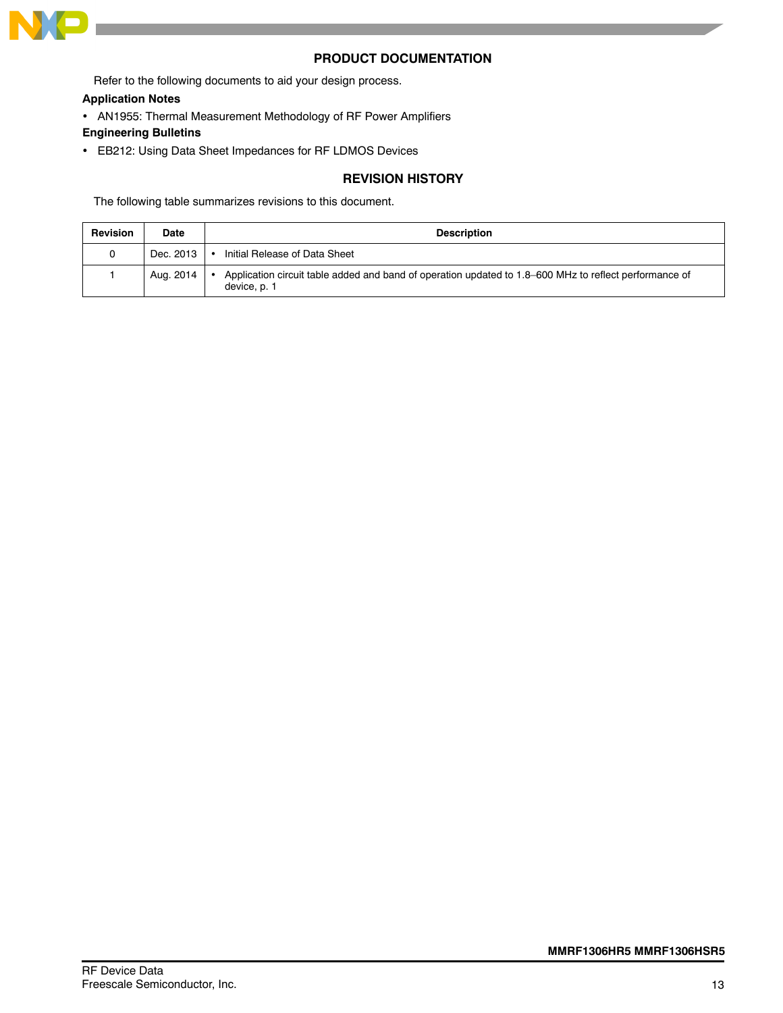

### **PRODUCT DOCUMENTATION**

Refer to the following documents to aid your design process.

### **Application Notes**

AN1955: Thermal Measurement Methodology of RF Power Amplifiers

### **Engineering Bulletins**

EB212: Using Data Sheet Impedances for RF LDMOS Devices

### **REVISION HISTORY**

The following table summarizes revisions to this document.

| <b>Revision</b> | <b>Date</b> | <b>Description</b>                                                                                                     |
|-----------------|-------------|------------------------------------------------------------------------------------------------------------------------|
|                 | Dec. 2013   | Initial Release of Data Sheet                                                                                          |
|                 | Aug. 2014   | Application circuit table added and band of operation updated to 1.8–600 MHz to reflect performance of<br>device, p. 1 |